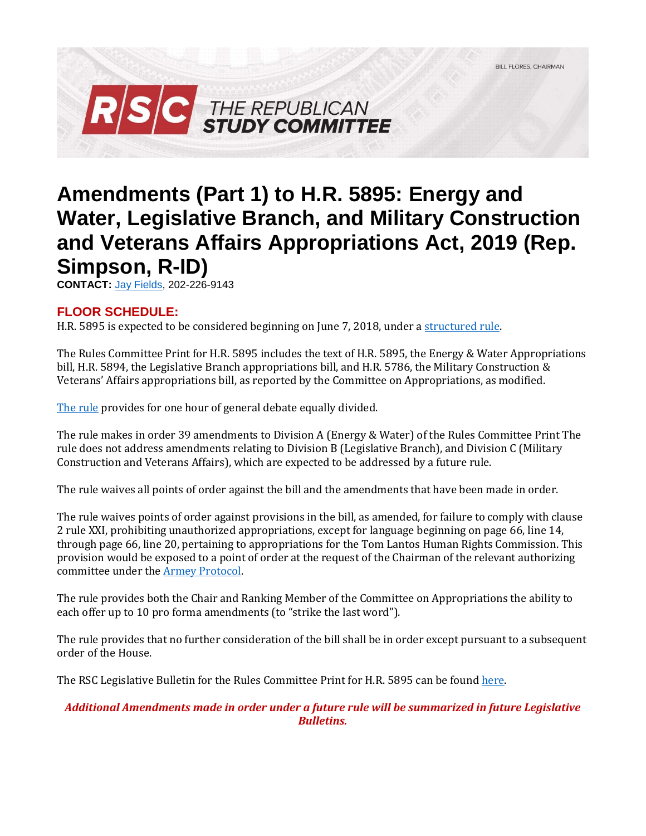

# **Amendments (Part 1) to H.R. 5895: Energy and Water, Legislative Branch, and Military Construction and Veterans Affairs Appropriations Act, 2019 (Rep. Simpson, R-ID)**

**CONTACT:** [Jay Fields,](mailto:jay.fields@mail.house.gov) 202-226-9143

### **FLOOR SCHEDULE:**

H.R. 5895 is expected to be considered beginning on June 7, 2018, under [a structured rule.](https://rules.house.gov/bill/115/hr-5895)

The Rules Committee Print for H.R. 5895 includes the text of H.R. 5895, the Energy & Water Appropriations bill, H.R. 5894, the Legislative Branch appropriations bill, and H.R. 5786, the Military Construction & Veterans' Affairs appropriations bill, as reported by the Committee on Appropriations, as modified.

[The rule](https://rules.house.gov/sites/republicans.rules.house.gov/files/Rule_SAHR3249HR8HR5895.pdf) provides for one hour of general debate equally divided.

The rule makes in order 39 amendments to Division A (Energy & Water) of the Rules Committee Print The rule does not address amendments relating to Division B (Legislative Branch), and Division C (Military Construction and Veterans Affairs), which are expected to be addressed by a future rule.

The rule waives all points of order against the bill and the amendments that have been made in order.

The rule waives points of order against provisions in the bill, as amended, for failure to comply with clause 2 rule XXI, prohibiting unauthorized appropriations, except for language beginning on page 66, line 14, through page 66, line 20, pertaining to appropriations for the Tom Lantos Human Rights Commission. This provision would be exposed to a point of order at the request of the Chairman of the relevant authorizing committee under the [Armey Protocol.](https://rules.house.gov/sites/republicans.rules.house.gov/files/112-BT-Approps-20111013.pdf#page=2)

The rule provides both the Chair and Ranking Member of the Committee on Appropriations the ability to each offer up to 10 pro forma amendments (to "strike the last word").

The rule provides that no further consideration of the bill shall be in order except pursuant to a subsequent order of the House.

The RSC Legislative Bulletin for the Rules Committee Print for H.R. 5895 can be foun[d here.](https://gallery.mailchimp.com/d4254037a343b683d142111e0/files/7623f7d3-ebe1-4b78-9723-45025e9193b0/LB_Minibus_EW_Leg_MilCon_FY19_FINAL.pdf)

### *Additional Amendments made in order under a future rule will be summarized in future Legislative Bulletins.*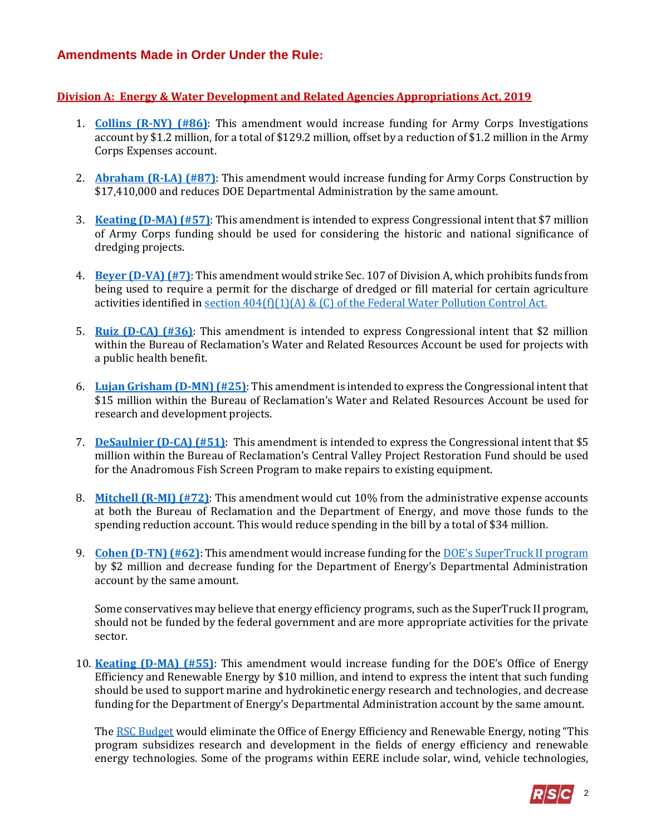## **Amendments Made in Order Under the Rule:**

#### **Division A: Energy & Water Development and Related Agencies Appropriations Act, 2019**

- 1. **[Collins \(R-NY\) \(#86\)](https://amendments-rules.house.gov/amendments/COLLNY_056_xml61181525402540.pdf)**: This amendment would increase funding for Army Corps Investigations account by \$1.2 million, for a total of \$129.2 million, offset by a reduction of \$1.2 million in the Army Corps Expenses account.
- 2. **[Abraham \(R-LA\) \(#87\)](https://amendments-rules.house.gov/amendments/ABRALA_118_xml61181011421142.pdf)**: This amendment would increase funding for Army Corps Construction by \$17,410,000 and reduces DOE Departmental Administration by the same amount.
- 3. **[Keating \(D-MA\) \(#57\)](https://amendments-rules.house.gov/amendments/KEATIN_089_xml530180947174717.pdf)**: This amendment is intended to express Congressional intent that \$7 million of Army Corps funding should be used for considering the historic and national significance of dredging projects.
- 4. **[Beyer \(D-VA\) \(#7\)](https://amendments-rules.house.gov/amendments/BEYER_075_xml52918155707577.pdf)**: This amendment would strike Sec. 107 of Division A, which prohibits funds from being used to require a permit for the discharge of dredged or fill material for certain agriculture activities identified in section  $404(f)(1)(A)$  & (C) of the Federal Water Pollution Control Act.
- 5. **[Ruiz \(D-CA\) \(#36\)](https://amendments-rules.house.gov/amendments/RUIZCA_070_xml530180929342934.pdf)**: This amendment is intended to express Congressional intent that \$2 million within the Bureau of Reclamation's Water and Related Resources Account be used for projects with a public health benefit.
- 6. **[Lujan Grisham \(D-MN\) \(#25\)](https://amendments-rules.house.gov/amendments/LUJANM_115_xml529181737113711.pdf)**: This amendment is intended to express the Congressional intent that \$15 million within the Bureau of Reclamation's Water and Related Resources Account be used for research and development projects.
- 7. **[DeSaulnier \(D-CA\) \(#51\)](https://amendments-rules.house.gov/amendments/DESAUL_089_xml530180953445344.pdf)**: This amendment is intended to express the Congressional intent that \$5 million within the Bureau of Reclamation's Central Valley Project Restoration Fund should be used for the Anadromous Fish Screen Program to make repairs to existing equipment.
- 8. **[Mitchell \(R-MI\) \(#72\)](https://amendments-rules.house.gov/amendments/MITCHE_045_xml530181557225722.pdf)**: This amendment would cut 10% from the administrative expense accounts at both the Bureau of Reclamation and the Department of Energy, and move those funds to the spending reduction account. This would reduce spending in the bill by a total of \$34 million.
- 9. **[Cohen \(D-TN\) \(#62\)](https://amendments-rules.house.gov/amendments/MITCHE_045_xml530181557225722.pdf)**: This amendment would increase funding for the DOE's [SuperTruck II program](https://www.energy.gov/articles/energy-department-announces-137-million-investment-commercial-and-passenger-vehicle) by \$2 million and decrease funding for the Department of Energy's Departmental Administration account by the same amount.

Some conservatives may believe that energy efficiency programs, such as the SuperTruck II program, should not be funded by the federal government and are more appropriate activities for the private sector.

10. **[Keating \(D-MA\) \(#55\)](https://amendments-rules.house.gov/amendments/KEATIN_087_xml53018091204124.pdf)**: This amendment would increase funding for the DOE's Office of Energy Efficiency and Renewable Energy by \$10 million, and intend to express the intent that such funding should be used to support marine and hydrokinetic energy research and technologies, and decrease funding for the Department of Energy's Departmental Administration account by the same amount.

Th[e RSC Budget](https://rsc-walker.house.gov/sites/republicanstudycommittee.house.gov/files/wysiwyg_uploaded/RSC%20Budget%20FY2019%20-%20Narrative%20-%20FINAL.PD#page=127) would eliminate the Office of Energy Efficiency and Renewable Energy, noting "This program subsidizes research and development in the fields of energy efficiency and renewable energy technologies. Some of the programs within EERE include solar, wind, vehicle technologies,

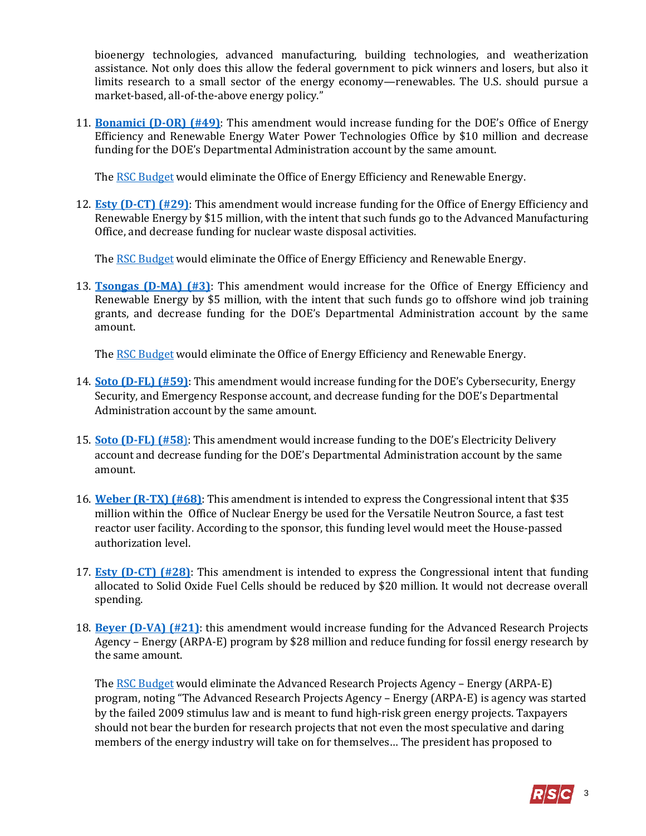bioenergy technologies, advanced manufacturing, building technologies, and weatherization assistance. Not only does this allow the federal government to pick winners and losers, but also it limits research to a small sector of the energy economy—renewables. The U.S. should pursue a market-based, all-of-the-above energy policy."

11. **[Bonamici \(D-OR\) \(#49\)](https://amendments-rules.house.gov/amendments/BONAMI_078_xml530180954515451.pdf)**: This amendment would increase funding for the DOE's Office of Energy Efficiency and Renewable Energy Water Power Technologies Office by \$10 million and decrease funding for the DOE's Departmental Administration account by the same amount.

Th[e RSC Budget](https://rsc-walker.house.gov/sites/republicanstudycommittee.house.gov/files/wysiwyg_uploaded/RSC%20Budget%20FY2019%20-%20Narrative%20-%20FINAL.PD#page=127) would eliminate the Office of Energy Efficiency and Renewable Energy.

12. **[Esty \(D-CT\) \(#29\)](https://amendments-rules.house.gov/amendments/ESTY_071_xml530180922412241.pdf)**: This amendment would increase funding for the Office of Energy Efficiency and Renewable Energy by \$15 million, with the intent that such funds go to the Advanced Manufacturing Office, and decrease funding for nuclear waste disposal activities.

Th[e RSC Budget](https://rsc-walker.house.gov/sites/republicanstudycommittee.house.gov/files/wysiwyg_uploaded/RSC%20Budget%20FY2019%20-%20Narrative%20-%20FINAL.PD#page=127) would eliminate the Office of Energy Efficiency and Renewable Energy.

13. **[Tsongas \(D-MA\) \(#3\)](https://amendments-rules.house.gov/amendments/TSONGA_028_xml529181519371937.pdf)**: This amendment would increase for the Office of Energy Efficiency and Renewable Energy by \$5 million, with the intent that such funds go to offshore wind job training grants, and decrease funding for the DOE's Departmental Administration account by the same amount.

Th[e RSC Budget](https://rsc-walker.house.gov/sites/republicanstudycommittee.house.gov/files/wysiwyg_uploaded/RSC%20Budget%20FY2019%20-%20Narrative%20-%20FINAL.PD#page=127) would eliminate the Office of Energy Efficiency and Renewable Energy.

- 14. **[Soto \(D-FL\) \(#59\)](https://amendments-rules.house.gov/amendments/SOTO_125_xml53018095209529.pdf)**: This amendment would increase funding for the DOE's Cybersecurity, Energy Security, and Emergency Response account, and decrease funding for the DOE's Departmental Administration account by the same amount.
- 15. **[Soto \(D-FL\) \(#58](https://amendments-rules.house.gov/amendments/SOTO_124_xml530180950285028.pdf)**): This amendment would increase funding to the DOE's Electricity Delivery account and decrease funding for the DOE's Departmental Administration account by the same amount.
- 16. **[Weber \(R-TX\) \(#68\)](https://amendments-rules.house.gov/amendments/WEBER_020_xml53018100040040.pdf)**: This amendment is intended to express the Congressional intent that \$35 million within the Office of Nuclear Energy be used for the Versatile Neutron Source, a fast test reactor user facility. According to the sponsor, this funding level would meet the House-passed authorization level.
- 17. **[Esty \(D-CT\) \(#28\)](https://amendments-rules.house.gov/amendments/ESTY_073_xml530180827322732.pdf)**: This amendment is intended to express the Congressional intent that funding allocated to Solid Oxide Fuel Cells should be reduced by \$20 million. It would not decrease overall spending.
- 18. **[Beyer \(D-VA\) \(#21\)](https://amendments-rules.house.gov/amendments/BEYER_077_xml5291817030030.pdf)**: this amendment would increase funding for the Advanced Research Projects Agency – Energy (ARPA-E) program by \$28 million and reduce funding for fossil energy research by the same amount.

Th[e RSC Budget](https://rsc-walker.house.gov/sites/republicanstudycommittee.house.gov/files/wysiwyg_uploaded/RSC%20Budget%20FY2019%20-%20Narrative%20-%20FINAL.PD#page=127) would eliminate the Advanced Research Projects Agency – Energy (ARPA-E) program, noting "The Advanced Research Projects Agency – Energy (ARPA-E) is agency was started by the failed 2009 stimulus law and is meant to fund high-risk green energy projects. Taxpayers should not bear the burden for research projects that not even the most speculative and daring members of the energy industry will take on for themselves… The president has proposed to

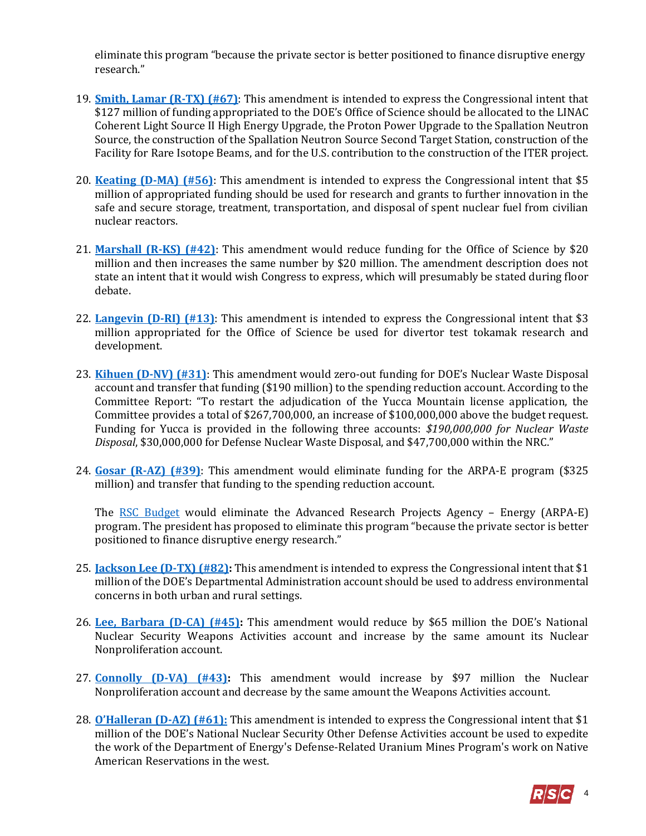eliminate this program "because the private sector is better positioned to finance disruptive energy research."

- 19. **[Smith, Lamar \(R-TX\) \(#67\)](https://amendments-rules.house.gov/amendments/SMITTX_024_xml53018100036036.pdf)**: This amendment is intended to express the Congressional intent that \$127 million of funding appropriated to the DOE's Office of Science should be allocated to the LINAC Coherent Light Source II High Energy Upgrade, the Proton Power Upgrade to the Spallation Neutron Source, the construction of the Spallation Neutron Source Second Target Station, construction of the Facility for Rare Isotope Beams, and for the U.S. contribution to the construction of the ITER project.
- 20. **[Keating \(D-MA\) \(#56\)](https://amendments-rules.house.gov/amendments/KEATIN_088_xml%20(2)65181211271127.pdf)**: This amendment is intended to express the Congressional intent that \$5 million of appropriated funding should be used for research and grants to further innovation in the safe and secure storage, treatment, transportation, and disposal of spent nuclear fuel from civilian nuclear reactors.
- 21. **[Marshall \(R-KS\) \(#42\)](https://amendments-rules.house.gov/amendments/Marshall%20EW%20Amendment53018095000500.pdf)**: This amendment would reduce funding for the Office of Science by \$20 million and then increases the same number by \$20 million. The amendment description does not state an intent that it would wish Congress to express, which will presumably be stated during floor debate.
- 22. **[Langevin \(D-RI\) \(#13\)](https://amendments-rules.house.gov/amendments/LANGEV_091_xml530180848534853.pdf)**: This amendment is intended to express the Congressional intent that \$3 million appropriated for the Office of Science be used for divertor test tokamak research and development.
- 23. **[Kihuen \(D-NV\) \(#31\)](https://amendments-rules.house.gov/amendments/KIHUEN_029_xml530180931513151.pdf)**: This amendment would zero-out funding for DOE's Nuclear Waste Disposal account and transfer that funding (\$190 million) to the spending reduction account. According to the Committee Report: "To restart the adjudication of the Yucca Mountain license application, the Committee provides a total of \$267,700,000, an increase of \$100,000,000 above the budget request. Funding for Yucca is provided in the following three accounts: *\$190,000,000 for Nuclear Waste Disposal*, \$30,000,000 for Defense Nuclear Waste Disposal, and \$47,700,000 within the NRC."
- 24. **[Gosar \(R-AZ\) \(#39\)](https://amendments-rules.house.gov/amendments/ARPA-E530180938573857.pdf)**: This amendment would eliminate funding for the ARPA-E program (\$325 million) and transfer that funding to the spending reduction account.

The [RSC Budget](https://rsc-walker.house.gov/sites/republicanstudycommittee.house.gov/files/wysiwyg_uploaded/RSC%20Budget%20FY2019%20-%20Narrative%20-%20FINAL.PD#page=127) would eliminate the Advanced Research Projects Agency – Energy (ARPA-E) program. The president has proposed to eliminate this program "because the private sector is better positioned to finance disruptive energy research."

- 25. **[Jackson Lee \(D-TX\) \(#82\):](https://amendments-rules.house.gov/amendments/JACKSO_286_xml53118154009409.pdf)** This amendment is intended to express the Congressional intent that \$1 million of the DOE's Departmental Administration account should be used to address environmental concerns in both urban and rural settings.
- 26. **[Lee, Barbara \(D-CA\) \(#45\):](https://amendments-rules.house.gov/amendments/LEE_low%20yield%20nuke%20rules53018094408448.pdf)** This amendment would reduce by \$65 million the DOE's National Nuclear Security Weapons Activities account and increase by the same amount its Nuclear Nonproliferation account.
- 27. **[Connolly \(D-VA\) \(#43\):](https://amendments-rules.house.gov/amendments/CONNOL_073_xml61181359175917.pdf)** This amendment would increase by \$97 million the Nuclear Nonproliferation account and decrease by the same amount the Weapons Activities account.
- 28. **[O'Halleran \(D](https://amendments-rules.house.gov/amendments/OHALLE_064_xml64181247564756.pdf)-AZ) (#61):** This amendment is intended to express the Congressional intent that \$1 million of the DOE's National Nuclear Security Other Defense Activities account be used to expedite the work of the Department of Energy's Defense-Related Uranium Mines Program's work on Native American Reservations in the west.